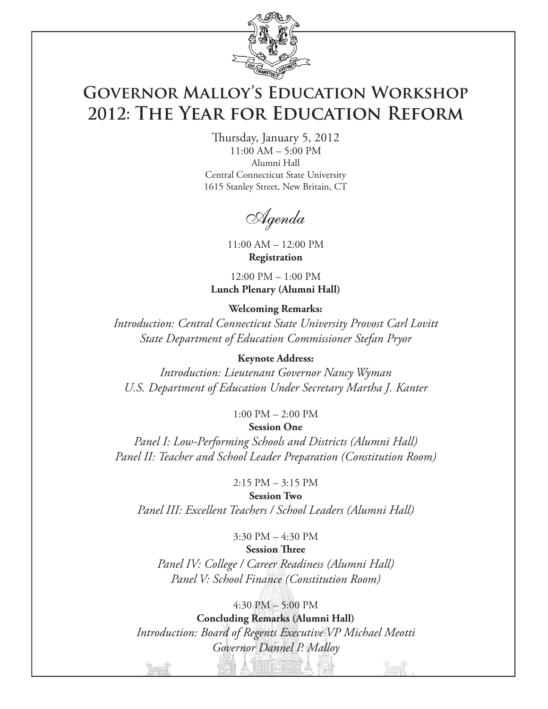

# **Governor Malloy's Education Workshop 2012: The Year for Education Reform**

Thursday, January 5, 2012 11:00 AM – 5:00 PM Alumni Hall Central Connecticut State University 1615 Stanley Street, New Britain, CT

Agenda

11:00 AM – 12:00 PM **Registration**

12:00 PM – 1:00 PM **Lunch Plenary (Alumni Hall)**

### **Welcoming Remarks:**

*Introduction: Central Connecticut State University Provost Carl Lovitt State Department of Education Commissioner Stefan Pryor*

### **Keynote Address:**

*Introduction: Lieutenant Governor Nancy Wyman U.S. Department of Education Under Secretary Martha J. Kanter*

1:00 PM – 2:00 PM

### **Session One**

*Panel I: Low-Performing Schools and Districts (Alumni Hall) Panel II: Teacher and School Leader Preparation (Constitution Room)*

2:15 PM – 3:15 PM

**Session Two**

*Panel III: Excellent Teachers / School Leaders (Alumni Hall)*

### 3:30 PM – 4:30 PM **Session Three**

*Panel IV: College / Career Readiness (Alumni Hall) Panel V: School Finance (Constitution Room)*

4:30 PM – 5:00 PM **Concluding Remarks (Alumni Hall)** *Introduction: Board of Regents Executive VP Michael Meotti Governor Dannel P. Malloy*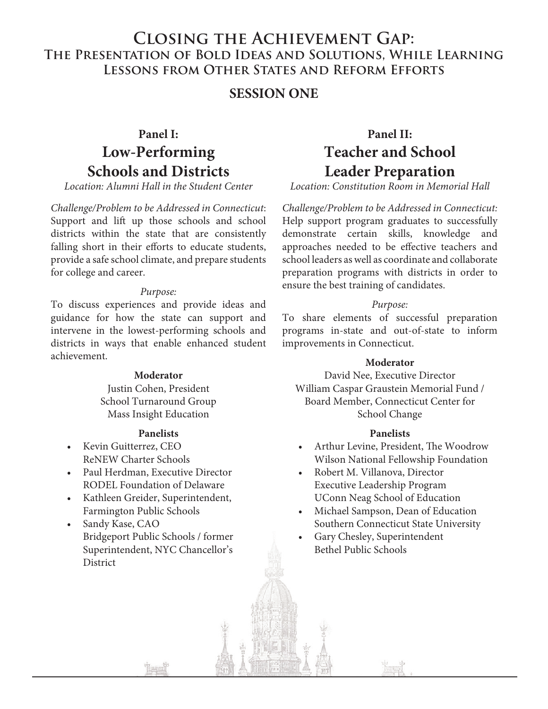### **Closing the Achievement Gap: The Presentation of Bold Ideas and Solutions, While Learning Lessons from Other States and Reform Efforts**

### **SESSION ONE**

# **Panel I: Low-Performing Schools and Districts**

*Location: Alumni Hall in the Student Center* 

*Challenge/Problem to be Addressed in Connecticut*: Support and lift up those schools and school districts within the state that are consistently falling short in their efforts to educate students, provide a safe school climate, and prepare students for college and career.

### *Purpose:*

To discuss experiences and provide ideas and guidance for how the state can support and intervene in the lowest-performing schools and districts in ways that enable enhanced student achievement.

### **Moderator**

Justin Cohen, President School Turnaround Group Mass Insight Education

### **Panelists**

- Kevin Guitterrez, CEO ReNEW Charter Schools
- Paul Herdman, Executive Director RODEL Foundation of Delaware
- Kathleen Greider, Superintendent, Farmington Public Schools
- Sandy Kase, CAO Bridgeport Public Schools / former Superintendent, NYC Chancellor's District

# **Panel II: Teacher and School Leader Preparation**

*Location: Constitution Room in Memorial Hall*

*Challenge/Problem to be Addressed in Connecticut:*  Help support program graduates to successfully demonstrate certain skills, knowledge and approaches needed to be effective teachers and school leaders as well as coordinate and collaborate preparation programs with districts in order to ensure the best training of candidates.

### *Purpose:*

To share elements of successful preparation programs in-state and out-of-state to inform improvements in Connecticut.

#### **Moderator**

David Nee, Executive Director William Caspar Graustein Memorial Fund / Board Member, Connecticut Center for School Change

### **Panelists**

- Arthur Levine, President, The Woodrow Wilson National Fellowship Foundation
- Robert M. Villanova, Director Executive Leadership Program UConn Neag School of Education
- Michael Sampson, Dean of Education Southern Connecticut State University
- Gary Chesley, Superintendent Bethel Public Schools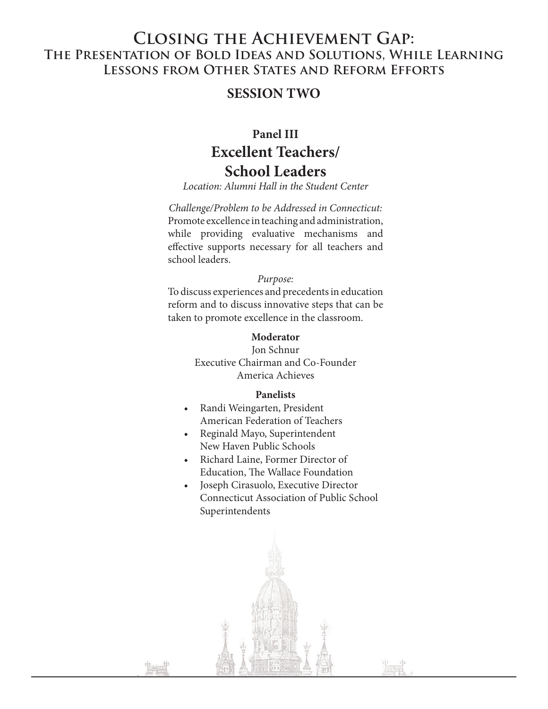### **Closing the Achievement Gap: The Presentation of Bold Ideas and Solutions, While Learning Lessons from Other States and Reform Efforts**

### **SESSION TWO**

## **Panel III Excellent Teachers/ School Leaders**

*Location: Alumni Hall in the Student Center*

*Challenge/Problem to be Addressed in Connecticut:*  Promote excellence in teaching and administration, while providing evaluative mechanisms and effective supports necessary for all teachers and school leaders.

#### *Purpose:*

To discuss experiences and precedents in education reform and to discuss innovative steps that can be taken to promote excellence in the classroom.

### **Moderator**

Jon Schnur Executive Chairman and Co-Founder America Achieves

#### **Panelists**

- Randi Weingarten, President American Federation of Teachers
- Reginald Mayo, Superintendent New Haven Public Schools
- Richard Laine, Former Director of Education, The Wallace Foundation
- Joseph Cirasuolo, Executive Director Connecticut Association of Public School Superintendents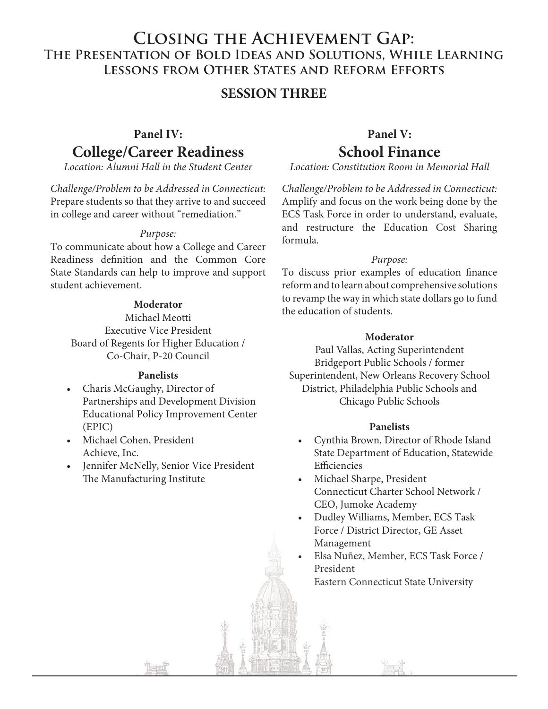### **Closing the Achievement Gap: The Presentation of Bold Ideas and Solutions, While Learning Lessons from Other States and Reform Efforts**

### **SESSION THREE**

## **Panel IV: College/Career Readiness**

*Location: Alumni Hall in the Student Center*

*Challenge/Problem to be Addressed in Connecticut:* Prepare students so that they arrive to and succeed in college and career without "remediation."

### *Purpose:*

To communicate about how a College and Career Readiness definition and the Common Core State Standards can help to improve and support student achievement.

### **Moderator**

Michael Meotti Executive Vice President Board of Regents for Higher Education / Co-Chair, P-20 Council

### **Panelists**

- Charis McGaughy, Director of Partnerships and Development Division Educational Policy Improvement Center (EPIC)
- Michael Cohen, President Achieve, Inc.
- Jennifer McNelly, Senior Vice President The Manufacturing Institute

### **Panel V: School Finance**

*Location: Constitution Room in Memorial Hall*

*Challenge/Problem to be Addressed in Connecticut:* Amplify and focus on the work being done by the ECS Task Force in order to understand, evaluate, and restructure the Education Cost Sharing formula.

#### *Purpose:*

To discuss prior examples of education finance reform and to learn about comprehensive solutions to revamp the way in which state dollars go to fund the education of students.

### **Moderator**

Paul Vallas, Acting Superintendent Bridgeport Public Schools / former Superintendent, New Orleans Recovery School District, Philadelphia Public Schools and Chicago Public Schools

#### **Panelists**

- Cynthia Brown, Director of Rhode Island State Department of Education, Statewide Efficiencies
- Michael Sharpe, President Connecticut Charter School Network / CEO, Jumoke Academy
- Dudley Williams, Member, ECS Task Force / District Director, GE Asset Director, Management
- Elsa Nuñez, Member, ECS Task Force / President Eastern Connecticut State University